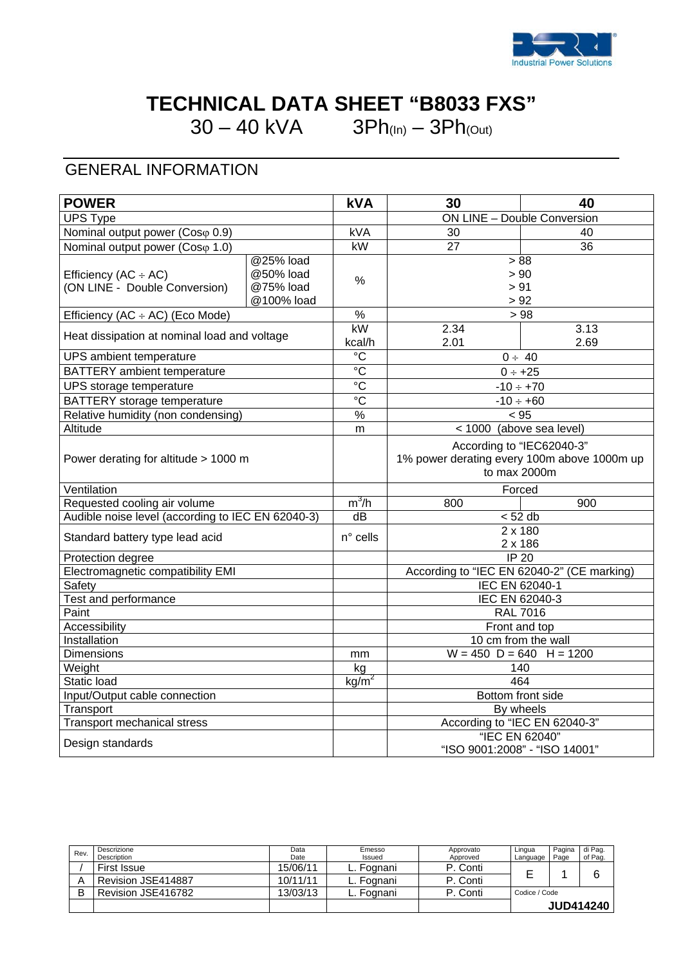

# **TECHNICAL DATA SHEET "B8033 FXS"**

 $30 - 40$  kVA  $3Ph_{(In)} - 3Ph_{(Out)}$ 

### GENERAL INFORMATION

| <b>POWER</b>                                               |                                                   | <b>kVA</b>        | 30                                                                                       | 40                            |
|------------------------------------------------------------|---------------------------------------------------|-------------------|------------------------------------------------------------------------------------------|-------------------------------|
| <b>UPS Type</b>                                            |                                                   |                   | ON LINE - Double Conversion                                                              |                               |
| Nominal output power (Cosφ 0.9)                            |                                                   | kVA               | 30<br>40                                                                                 |                               |
| Nominal output power (Coso 1.0)                            |                                                   | kW                | 27                                                                                       | 36                            |
| Efficiency $(AC \div AC)$<br>(ON LINE - Double Conversion) | @25% load<br>@50% load<br>@75% load<br>@100% load | %                 | > 88<br>> 90<br>> 91<br>> 92                                                             |                               |
| Efficiency (AC ÷ AC) (Eco Mode)                            |                                                   | $\frac{9}{6}$     | >98                                                                                      |                               |
| Heat dissipation at nominal load and voltage               |                                                   | kW<br>kcal/h      | 2.34<br>2.01                                                                             | 3.13<br>2.69                  |
| UPS ambient temperature                                    |                                                   | $\overline{C}$    |                                                                                          | $0 \div 40$                   |
| <b>BATTERY</b> ambient temperature                         |                                                   | $\overline{c}$    | $0 ÷ +25$                                                                                |                               |
| UPS storage temperature                                    |                                                   | $\overline{C}$    |                                                                                          | $-10 \div +70$                |
| BATTERY storage temperature                                |                                                   | $\overline{C}$    |                                                                                          | $-10 \div +60$                |
| Relative humidity (non condensing)                         |                                                   | $\frac{0}{6}$     | < 95                                                                                     |                               |
| Altitude                                                   |                                                   | m                 | < 1000 (above sea level)                                                                 |                               |
| Power derating for altitude > 1000 m                       |                                                   |                   | According to "IEC62040-3"<br>1% power derating every 100m above 1000m up<br>to max 2000m |                               |
| Ventilation                                                |                                                   |                   | Forced                                                                                   |                               |
| Requested cooling air volume                               |                                                   | $m^3/h$           | 800                                                                                      | 900                           |
| Audible noise level (according to IEC EN 62040-3)          |                                                   | $\overline{dB}$   | < 52 db                                                                                  |                               |
| Standard battery type lead acid                            |                                                   | n° cells          | $2 \times 180$<br>2 x 186                                                                |                               |
| Protection degree                                          |                                                   |                   | <b>IP 20</b>                                                                             |                               |
| Electromagnetic compatibility EMI                          |                                                   |                   | According to "IEC EN 62040-2" (CE marking)                                               |                               |
| Safety                                                     |                                                   |                   | IEC EN 62040-1                                                                           |                               |
| <b>Test and performance</b>                                |                                                   |                   | IEC EN 62040-3                                                                           |                               |
| Paint                                                      |                                                   |                   | <b>RAL 7016</b>                                                                          |                               |
| Accessibility                                              |                                                   |                   | Front and top                                                                            |                               |
| Installation                                               |                                                   |                   | 10 cm from the wall                                                                      |                               |
| Dimensions                                                 |                                                   | mm                | $W = 450$ D = 640 H = 1200                                                               |                               |
| Weight                                                     |                                                   | kg                | 140                                                                                      |                               |
| Static load                                                |                                                   | kg/m <sup>2</sup> | 464                                                                                      |                               |
| Input/Output cable connection                              |                                                   |                   | Bottom front side<br>By wheels                                                           |                               |
| Transport                                                  |                                                   |                   |                                                                                          | According to "IEC EN 62040-3" |
| <b>Transport mechanical stress</b>                         |                                                   |                   |                                                                                          |                               |
| Design standards                                           |                                                   |                   | "IEC EN 62040"<br>"ISO 9001:2008" - "ISO 14001"                                          |                               |

| Rev. | Descrizione<br>Description | Data<br>Date | Emesso<br>Issued | Approvato<br>Approved | Lingua<br>Language | Pagina<br>Page | di Pag.<br>of Pag. |
|------|----------------------------|--------------|------------------|-----------------------|--------------------|----------------|--------------------|
|      | First Issue                | 15/06/11     | L. Fognani       | P. Conti              |                    |                |                    |
|      | Revision JSE414887         | 10/11/11     | ∟. Fognani       | P. Conti              |                    |                |                    |
|      | Revision JSE416782         | 13/03/13     | L. Fognani       | P. Conti              | Codice / Code      |                |                    |
|      |                            |              |                  |                       |                    |                | <b>JUD414240</b>   |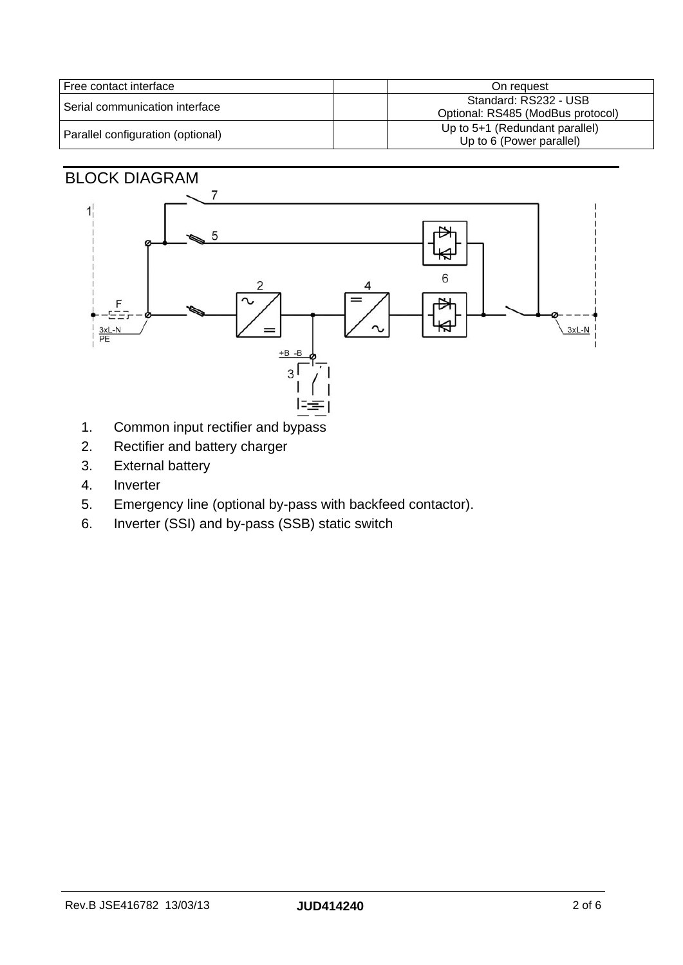| Free contact interface            | On request                                                 |
|-----------------------------------|------------------------------------------------------------|
| l Serial communication interface_ | Standard: RS232 - USB<br>Optional: RS485 (ModBus protocol) |
| Parallel configuration (optional) | Up to 5+1 (Redundant parallel)<br>Up to 6 (Power parallel) |

#### BLOCK DIAGRAM



- 1. Common input rectifier and bypass
- 2. Rectifier and battery charger
- 3. External battery
- 4. Inverter
- 5. Emergency line (optional by-pass with backfeed contactor).
- 6. Inverter (SSI) and by-pass (SSB) static switch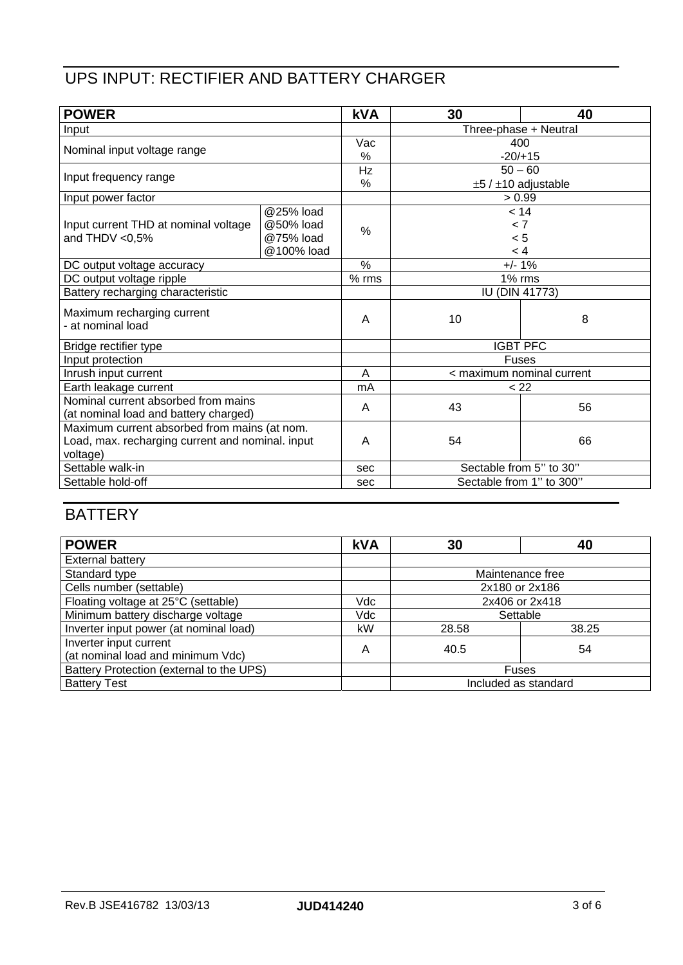## UPS INPUT: RECTIFIER AND BATTERY CHARGER

| <b>POWER</b>                                                                 |             | <b>kVA</b>          | 30  | 40                            |  |  |
|------------------------------------------------------------------------------|-------------|---------------------|-----|-------------------------------|--|--|
| Input                                                                        |             |                     |     | Three-phase + Neutral         |  |  |
| Nominal input voltage range                                                  |             | Vac                 |     | 400                           |  |  |
|                                                                              |             | %                   |     | $-20/+15$                     |  |  |
| Input frequency range                                                        |             | Hz                  |     | $50 - 60$                     |  |  |
|                                                                              |             | %                   |     | $\pm 5$ / $\pm 10$ adjustable |  |  |
| Input power factor                                                           |             |                     |     | > 0.99                        |  |  |
|                                                                              | $@25%$ load |                     |     | < 14                          |  |  |
| Input current THD at nominal voltage                                         | @50% load   | $\%$                | < 7 |                               |  |  |
| and THDV $< 0.5\%$                                                           | @75% load   |                     |     | < 5                           |  |  |
|                                                                              | @100% load  |                     |     | < 4                           |  |  |
| DC output voltage accuracy                                                   |             | $\%$                |     | $+/- 1%$                      |  |  |
| DC output voltage ripple                                                     |             | $\overline{\%}$ rms |     | $1\%$ rms                     |  |  |
| Battery recharging characteristic                                            |             |                     |     | <b>IU (DIN 41773)</b>         |  |  |
| Maximum recharging current<br>- at nominal load                              |             | A                   | 10  | 8                             |  |  |
| Bridge rectifier type                                                        |             |                     |     | <b>IGBT PFC</b>               |  |  |
| Input protection                                                             |             |                     |     | <b>Fuses</b>                  |  |  |
| Inrush input current                                                         |             | A                   |     | < maximum nominal current     |  |  |
| Earth leakage current                                                        |             | mA                  |     | < 22                          |  |  |
| Nominal current absorbed from mains<br>(at nominal load and battery charged) |             | A                   | 43  | 56                            |  |  |
| Maximum current absorbed from mains (at nom.                                 |             |                     |     |                               |  |  |
| Load, max. recharging current and nominal. input                             |             | A                   | 54  | 66                            |  |  |
| voltage)                                                                     |             |                     |     |                               |  |  |
| Settable walk-in                                                             |             | sec                 |     | Sectable from 5" to 30"       |  |  |
| Settable hold-off                                                            |             | sec                 |     | Sectable from 1" to 300"      |  |  |

### **BATTERY**

| <b>POWER</b>                                                | <b>kVA</b> | 30                   | 40 |  |
|-------------------------------------------------------------|------------|----------------------|----|--|
| External battery                                            |            |                      |    |  |
| Standard type                                               |            | Maintenance free     |    |  |
| Cells number (settable)                                     |            | 2x180 or 2x186       |    |  |
| Floating voltage at 25°C (settable)                         | Vdc        | 2x406 or 2x418       |    |  |
| Minimum battery discharge voltage                           | Vdc        | Settable             |    |  |
| Inverter input power (at nominal load)                      | kW         | 38.25<br>28.58       |    |  |
| Inverter input current<br>(at nominal load and minimum Vdc) | Α          | 40.5                 | 54 |  |
| Battery Protection (external to the UPS)                    |            | <b>Fuses</b>         |    |  |
| <b>Battery Test</b>                                         |            | Included as standard |    |  |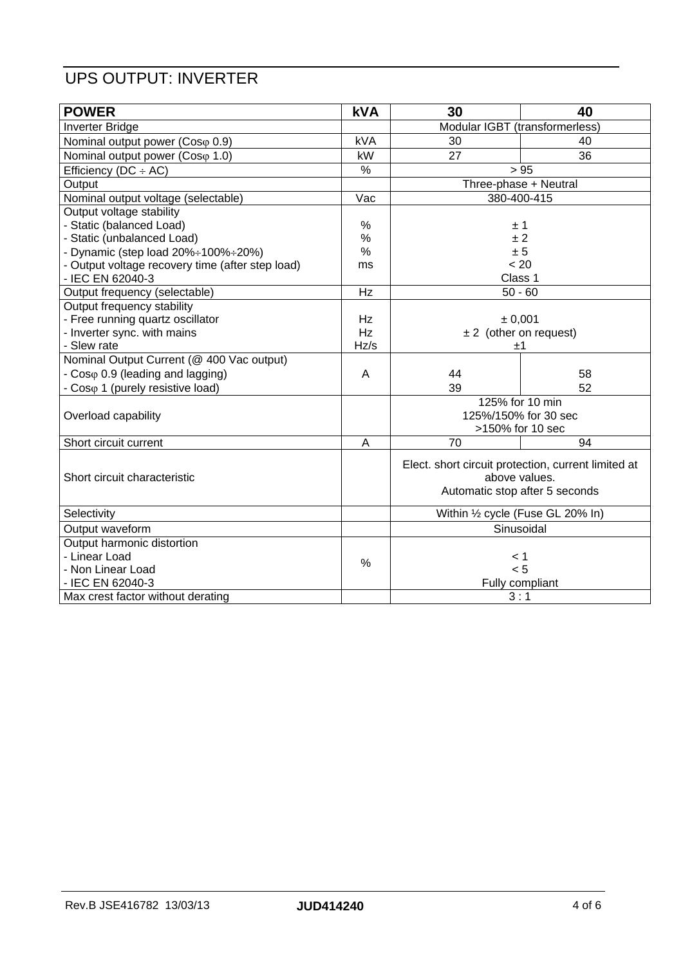### UPS OUTPUT: INVERTER

| <b>POWER</b>                                     | <b>kVA</b>    | 30                                                                                                     | 40                    |
|--------------------------------------------------|---------------|--------------------------------------------------------------------------------------------------------|-----------------------|
| <b>Inverter Bridge</b>                           |               | Modular IGBT (transformerless)                                                                         |                       |
| Nominal output power (Coso 0.9)                  | <b>kVA</b>    | 30                                                                                                     | 40                    |
| Nominal output power (Coso 1.0)                  | kW            | 27<br>36                                                                                               |                       |
| Efficiency ( $DC \div AC$ )                      | $\%$          |                                                                                                        | > 95                  |
| Output                                           |               |                                                                                                        | Three-phase + Neutral |
| Nominal output voltage (selectable)              | Vac           |                                                                                                        | 380-400-415           |
| Output voltage stability                         |               |                                                                                                        |                       |
| - Static (balanced Load)                         | %             |                                                                                                        | ±1                    |
| - Static (unbalanced Load)                       | %             |                                                                                                        | ±2                    |
| - Dynamic (step load 20%÷100%÷20%)               | %             |                                                                                                        | ± 5                   |
| - Output voltage recovery time (after step load) | ms            |                                                                                                        | < 20                  |
| - IEC EN 62040-3                                 |               | Class 1                                                                                                |                       |
| Output frequency (selectable)                    | Hz            |                                                                                                        | $50 - 60$             |
| Output frequency stability                       |               |                                                                                                        |                       |
| - Free running quartz oscillator                 | Hz            | ± 0,001                                                                                                |                       |
| - Inverter sync. with mains                      | Hz            | $\pm 2$ (other on request)                                                                             |                       |
| - Slew rate                                      | Hz/s          |                                                                                                        | ±1                    |
| Nominal Output Current (@ 400 Vac output)        |               |                                                                                                        |                       |
| - Coso 0.9 (leading and lagging)                 | Α             | 44                                                                                                     | 58                    |
| - Coso 1 (purely resistive load)                 |               | 39                                                                                                     | 52                    |
| Overload capability                              |               | 125% for 10 min<br>125%/150% for 30 sec<br>>150% for 10 sec                                            |                       |
| Short circuit current                            | A             | 70                                                                                                     | 94                    |
| Short circuit characteristic                     |               | Elect. short circuit protection, current limited at<br>above values.<br>Automatic stop after 5 seconds |                       |
| Selectivity                                      |               | Within 1/2 cycle (Fuse GL 20% In)                                                                      |                       |
| Output waveform                                  |               | Sinusoidal                                                                                             |                       |
| Output harmonic distortion                       |               |                                                                                                        |                       |
| - Linear Load                                    | $\frac{0}{0}$ |                                                                                                        | < 1                   |
| - Non Linear Load                                |               |                                                                                                        | < 5                   |
| - IEC EN 62040-3                                 |               | Fully compliant                                                                                        |                       |
| Max crest factor without derating                |               | 3:1                                                                                                    |                       |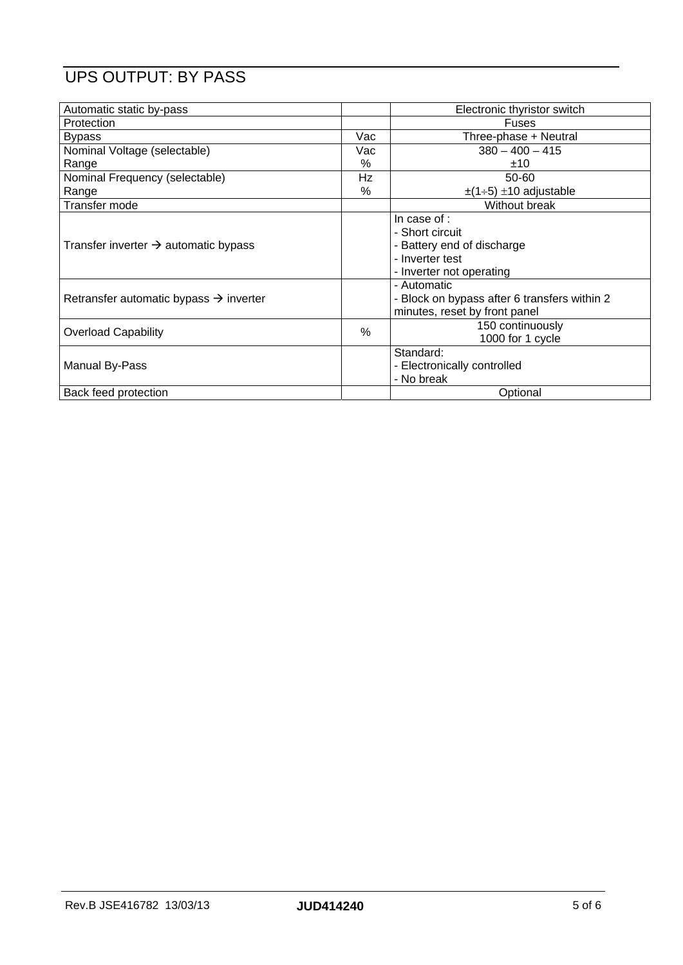# UPS OUTPUT: BY PASS

| Automatic static by-pass                           |      | Electronic thyristor switch                                                                                  |  |  |
|----------------------------------------------------|------|--------------------------------------------------------------------------------------------------------------|--|--|
| Protection                                         |      | <b>Fuses</b>                                                                                                 |  |  |
| <b>Bypass</b>                                      | Vac  | Three-phase + Neutral                                                                                        |  |  |
| Nominal Voltage (selectable)                       | Vac  | $380 - 400 - 415$                                                                                            |  |  |
| Range                                              | %    | ±10                                                                                                          |  |  |
| Nominal Frequency (selectable)                     | Hz   | 50-60                                                                                                        |  |  |
| Range                                              | %    | $\pm$ (1÷5) $\pm$ 10 adjustable                                                                              |  |  |
| Transfer mode                                      |      | Without break                                                                                                |  |  |
| Transfer inverter $\rightarrow$ automatic bypass   |      | In case of :<br>- Short circuit<br>- Battery end of discharge<br>- Inverter test<br>- Inverter not operating |  |  |
| Retransfer automatic bypass $\rightarrow$ inverter |      | - Automatic<br>- Block on bypass after 6 transfers within 2<br>minutes, reset by front panel                 |  |  |
| <b>Overload Capability</b>                         | $\%$ | 150 continuously<br>1000 for 1 cycle                                                                         |  |  |
| <b>Manual By-Pass</b>                              |      | Standard:<br>- Electronically controlled<br>- No break                                                       |  |  |
| Back feed protection                               |      | Optional                                                                                                     |  |  |